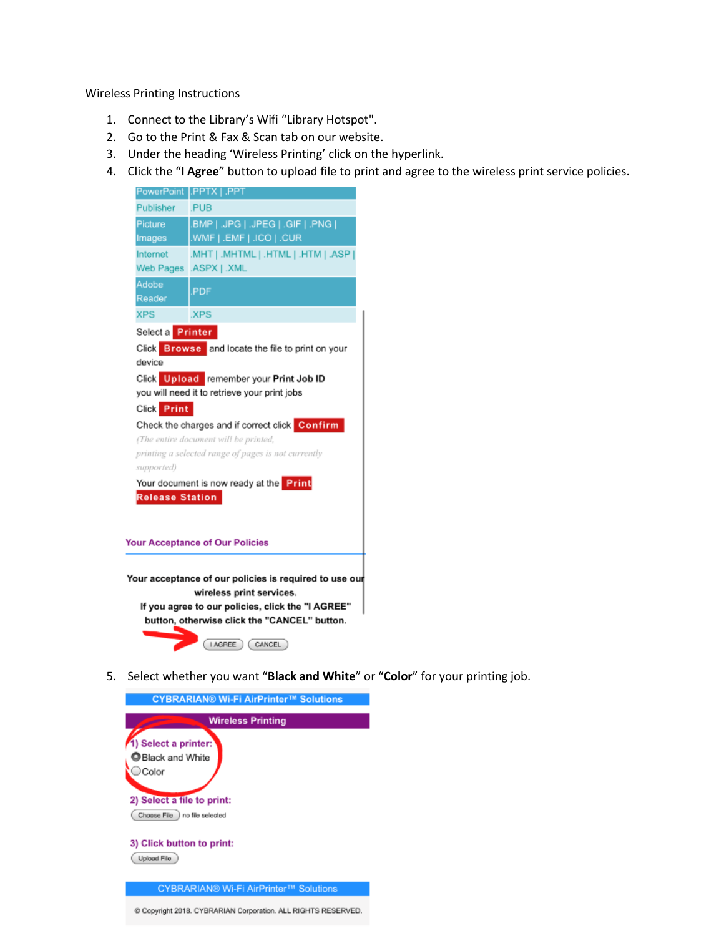Wireless Printing Instructions

- 1. Connect to the Library's Wifi "Library Hotspot".
- 2. Go to the Print & Fax & Scan tab on our website.
- 3. Under the heading 'Wireless Printing' click on the hyperlink.
- 4. Click the "**I Agree**" button to upload file to print and agree to the wireless print service policies.



5. Select whether you want "**Black and White**" or "**Color**" for your printing job.

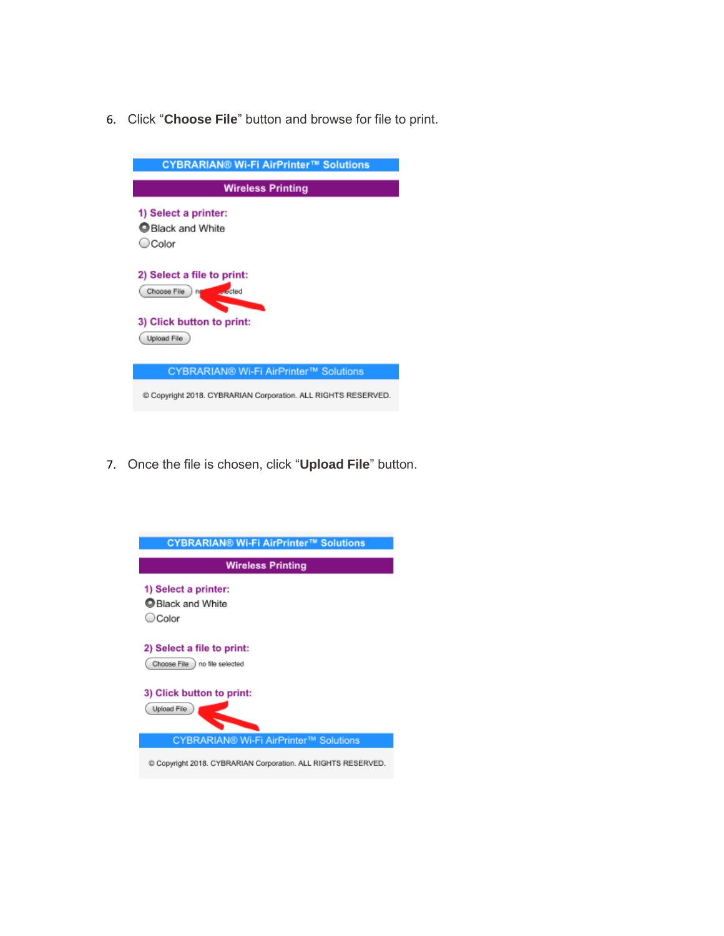6. Click "**Choose File**" button and browse for file to print.



7. Once the file is chosen, click "**Upload File**" button.

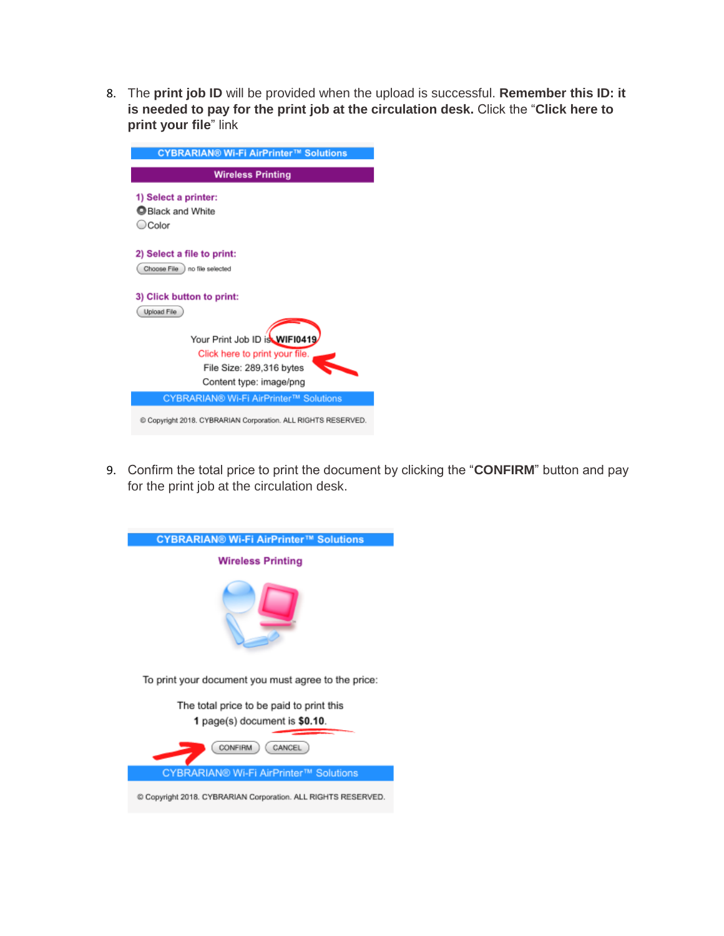8. The **print job ID** will be provided when the upload is successful. **Remember this ID: it is needed to pay for the print job at the circulation desk.** Click the "**Click here to print your file**" link

| <b>CYBRARIAN® Wi-Fi AirPrinter™ Solutions</b>                 |
|---------------------------------------------------------------|
| <b>Wireless Printing</b>                                      |
| 1) Select a printer:<br><b>Black and White</b><br>○ Color     |
| 2) Select a file to print:<br>Choose File I no file selected  |
| 3) Click button to print:<br>Upload File                      |
| Your Print Job ID is WIF10419                                 |
| Click here to print your file.                                |
| File Size: 289,316 bytes<br>Content type: image/png           |
| CYBRARIAN® Wi-Fi AirPrinter™ Solutions                        |
| C Copyright 2018. CYBRARIAN Corporation. ALL RIGHTS RESERVED. |

9. Confirm the total price to print the document by clicking the "**CONFIRM**" button and pay for the print job at the circulation desk.